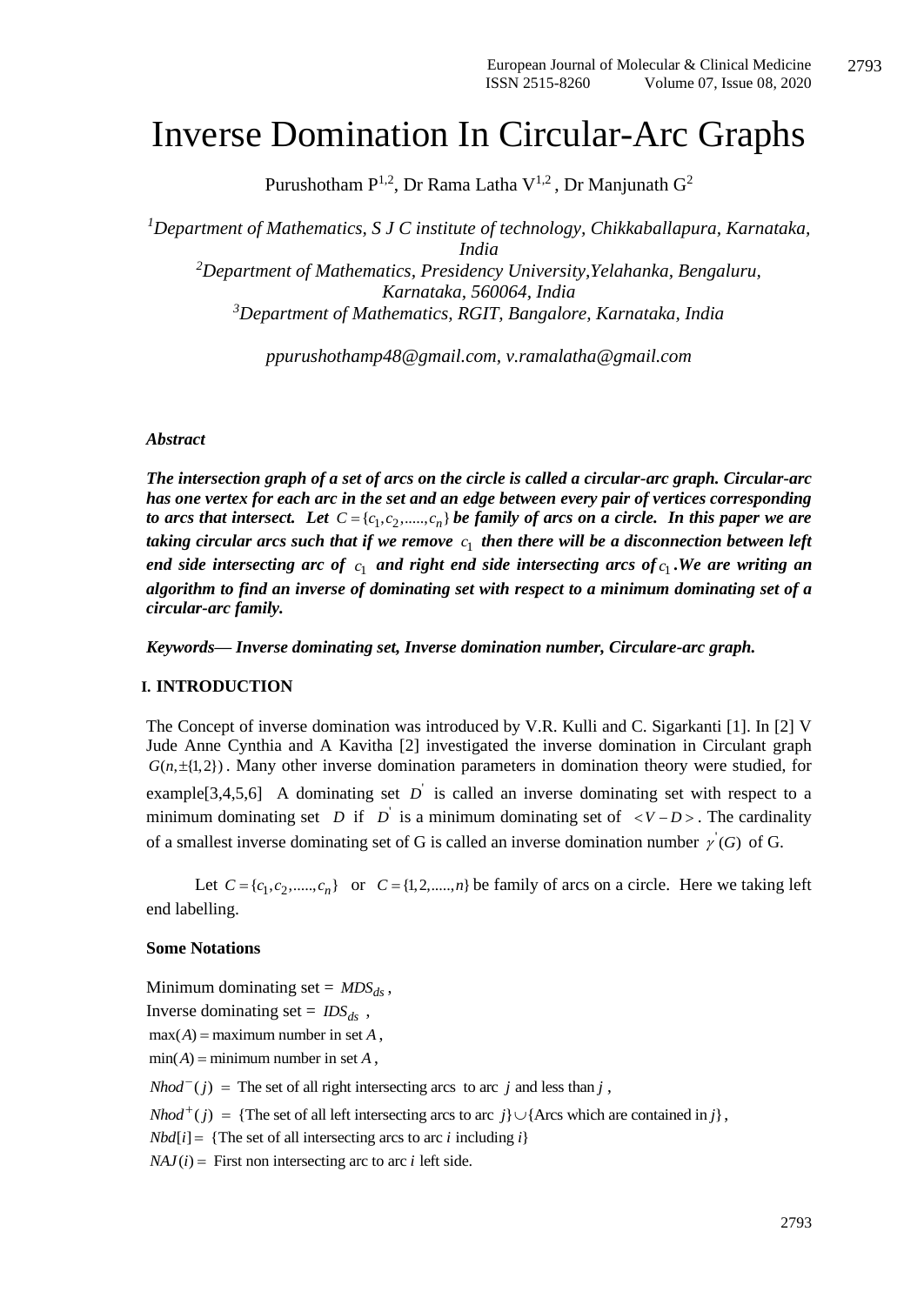# Inverse Domination In Circular-Arc Graphs

Purushotham  $P^{1,2}$ , Dr Rama Latha  $V^{1,2}$ , Dr Manjunath  $G^2$ 

*<sup>1</sup>Department of Mathematics, S J C institute of technology, Chikkaballapura, Karnataka, India <sup>2</sup>Department of Mathematics, Presidency University,Yelahanka, Bengaluru, Karnataka, 560064, India <sup>3</sup>Department of Mathematics, RGIT, Bangalore, Karnataka, India*

*ppurushothamp48@gmail.com, [v.ramalatha@gmail.com](mailto:v.ramalatha@gmail.com)*

#### *Abstract*

*The intersection graph of a set of arcs on the circle is called a circular-arc graph. Circular-arc has one vertex for each arc in the set and an edge between every pair of vertices corresponding*  to arcs that intersect. Let  $C = \{c_1, c_2, \ldots, c_n\}$  be family of arcs on a circle. In this paper we are taking circular arcs such that if we remove  $\,c_1^{}$  then there will be a disconnection between left *end side intersecting arc of*  $c_1$  *and right end side intersecting arcs of*  $c_1$ . We are writing an *algorithm to find an inverse of dominating set with respect to a minimum dominating set of a circular-arc family.* 

*Keywords— Inverse dominating set, Inverse domination number, Circulare-arc graph.*

#### **I. INTRODUCTION**

The Concept of inverse domination was introduced by V.R. Kulli and C. Sigarkanti [1]. In [2] V Jude Anne Cynthia and A Kavitha [2] investigated the inverse domination in Circulant graph  $G(n, \pm{1,2})$ . Many other inverse domination parameters in domination theory were studied, for example<sup>[3,4,5,6] A dominating set  $D$  is called an inverse dominating set with respect to a</sup> minimum dominating set *D* if *D* is a minimum dominating set of  $\langle V - D \rangle$ . The cardinality of a smallest inverse dominating set of G is called an inverse domination number  $\gamma'(G)$  of G.

Let  $C = \{c_1, c_2, \dots, c_n\}$  or  $C = \{1, 2, \dots, n\}$  be family of arcs on a circle. Here we taking left end labelling.

#### **Some Notations**

Minimum dominating set =  $MDS_{ds}$ , Inverse dominating set =  $\text{IDS}_{ds}$ ,  $max(A) =$  maximum number in set A,  $min(A) = minimum number in set A$ ,  $Nhod^{-}(j)$  = The set of all right intersecting arcs to arc *j* and less than *j*,

*Nhod*<sup> $+$ </sup>(*j*) = {The set of all left intersecting arcs to arc *j*} $\cup$ {Arcs which are contained in *j*},

 $Nbd[i] = {The set of all intersecting arcs to arc *i* including *i*}$ 

 $NAJ(i)$  = First non intersecting arc to arc *i* left side.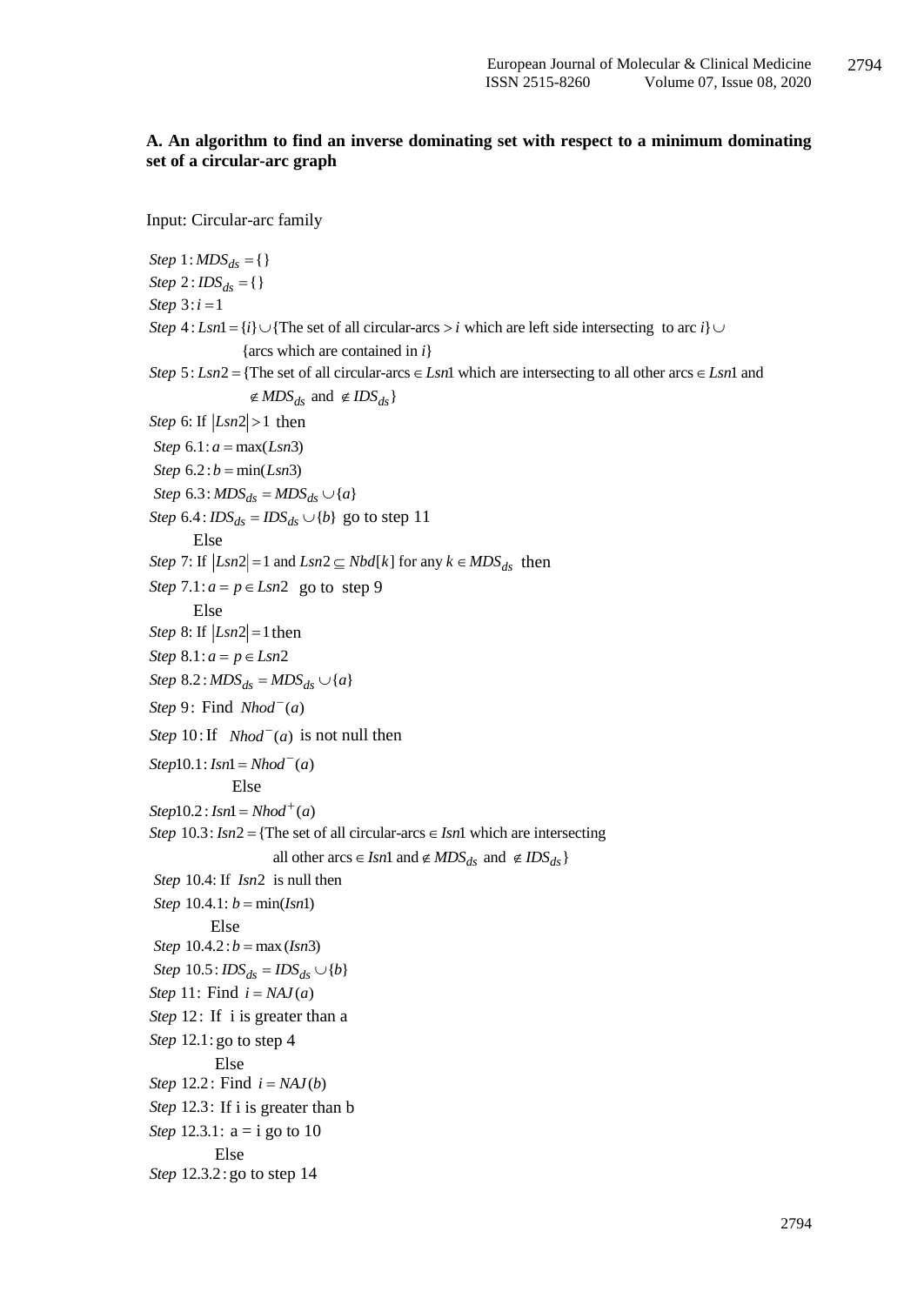#### **A. An algorithm to find an inverse dominating set with respect to a minimum dominating set of a circular-arc graph**

Input: Circular-arc family

 $Step 1: MDS_{ds} = \{\}$  $Step 2: *IDS*<sub>ds</sub> = \{\}$ *Step*  $3:i=1$ *Step*  $4: Lsn1 = \{i\} \cup \{The set of all circular-arcs > i which are left side intersecting to arc *i* \}$ {arcs which are contained in *i*}  $\exists$  :  $Lsn1 = \{i\} \cup \{\text{The set of all circular-arcs} > i \text{ which are left side intersecting to arc } i\} \cup \{\text{arcs which are contained in } i\}$ <br>  $\exists$  :  $Lsn2 = \{\text{The set of all circular-arcs} \in Lsn1 \text{ which are intersecting to all other arcs} \in Lsn1 \text{ and } \{LRS\}$ {arcs which are contained<br>*Step 5 : Lsn2* = {The set of all circular-ar<br> $\text{\ensuremath{\not}E} MDS_{ds}$  and  $\text{\ensuremath{\not}E} IDS_{ds}$ } *Step 4* : *Lsn*1 = {*i*}  $\cup$  {The set of all circular-arcs > *i* which are left side intersecting to arc *i*}  $\cup$  {arcs which are contained in *i*}<br>*Step 5* : *Lsn2* = {The set of all circular-arcs  $\in$  *Lsn1* which ar  $\notin MDS_{ds}$  and  $\notin IDS_{ds}$ arcs which are contained in *i*<br>arcs which are contained in *i*<br>The set of all circular-arcs  $\in$  *i*<br> $\notin MDS_{ds}$  and  $\notin IDS_{ds}$ *Step* 6: If  $|Lsn2| > 1$  then *Step*  $6.1: a = max(Lsn3)$ *Step*  $6.2 : b = min(Lsn3)$  $Step 6.3: MDS<sub>ds</sub> = MDS<sub>ds</sub> \cup {a}$ <br>  $Step 6.4: IDS<sub>ds</sub> = IDS<sub>ds</sub> \cup {b}$  go to step 11 Else Step 7: If  $|Lsn2| = 1$  and  $Lsn2 \subseteq Nbd[k]$  for any  $k \in MDS_{ds}$  then *Step*  $7.1: a = p \in Lsn2$  go to step 9 Else *Step* 8: If  $|Lsn2| = 1$  then *Step*  $8.1: a = p \in Lsn2$  $Step 8.2: MDS<sub>ds</sub> = MDS<sub>ds</sub> \cup \{a\}$  $Step 9: Find  $Nhod^-(a)$$ *Step* 10: If *Nhod*<sup> $(a)$ </sup> is not null then  $Step 10.1: Isn1 = Nhod^-(a)$ Else  $Step 10.2: Isn1 = Nhod^+(a)$ *Step* 10.3:  $\text{Im}2 = {\text{The set of all circular-}arcs \in \text{Im}1}$  which are intersecting all other arcs  $\in$  *Isn*1 and  $\notin MDS_{ds}$  and  $\notin IDS_{ds}$  *Step 10.4:* If *Isn2* is null then *Step*  $10.4.1: b = min( Isn1)$  Else *Step*  $10.4.2: b = max (Im3)$  $Step 10.5:  $IDS_{ds} = IDs_{ds} \cup \{b\}$$ *Step* 11: Find  $i = NAI(a)$ Step 12: If i is greater than a *Step* 12.1: go to step 4 Else Step 12.2: Find  $i = NAJ(b)$ Step 12.3: If i is greater than b *Step* 12.3.1:  $a = i$  go to 10 Else *Step* 12.3.2: go to step 14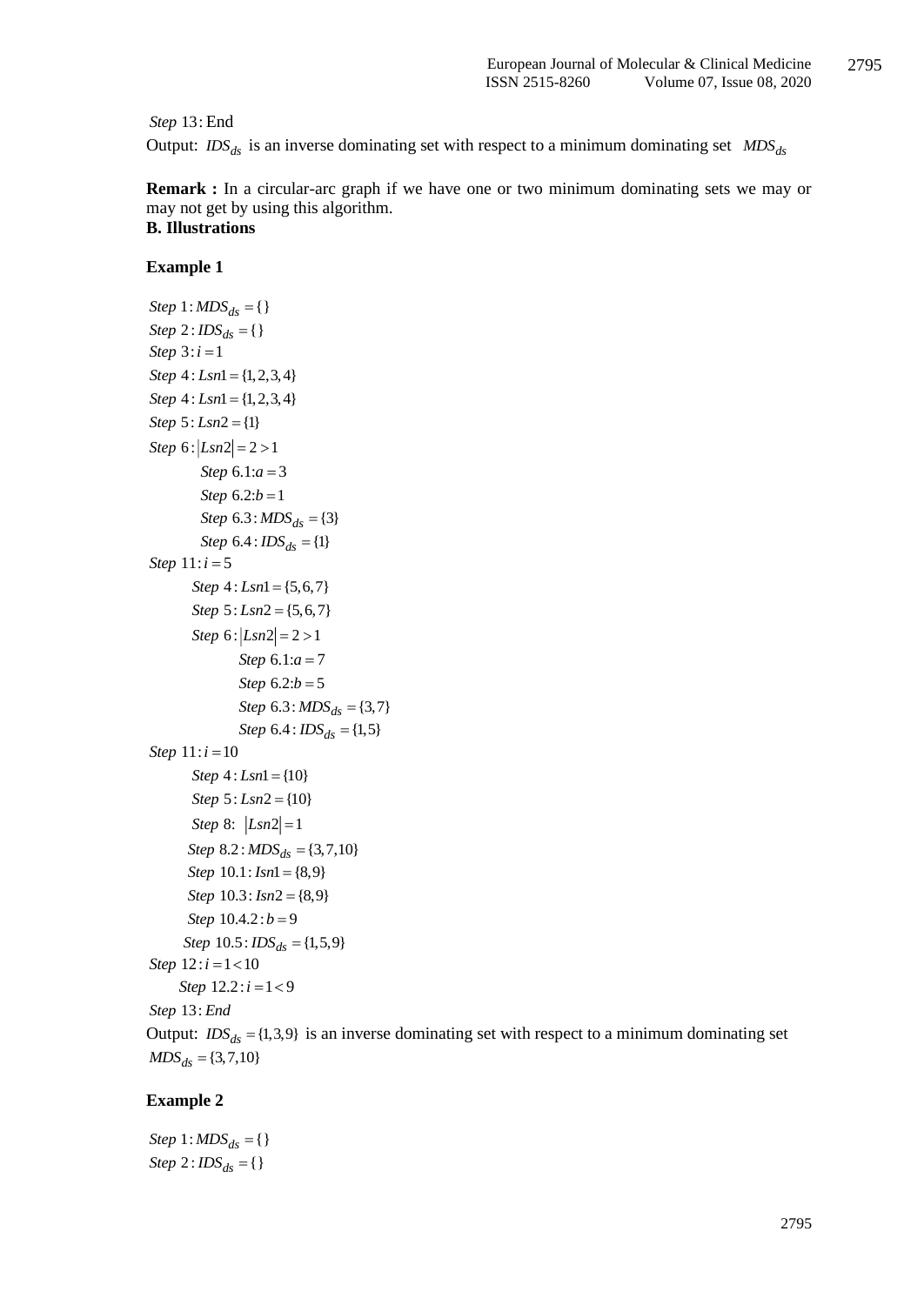Step 13: End

Output:  $\text{IDS}_{ds}$  is an inverse dominating set with respect to a minimum dominating set  $\text{MDS}_{ds}$ 

**Remark :** In a circular-arc graph if we have one or two minimum dominating sets we may or may not get by using this algorithm. **B. Illustrations**

#### **Example 1**

```
Sep 13: Land<br>
Stephen ED<sub>56</sub> is an inverse dominating set with respect to a minimum dominating set MDS_A<br>
Remark : In a circular-arc graph if we have one or two minimum dominating sets we may or<br>
now in go to sample 1
Step 1: MDS<sub>ds</sub> = \{\}Step 2: <i>IDS</i><sub>ds</sub> = \{\}Step 3:i=1Step 4: Lsn1 = \{1, 2, 3, 4\}Step 4: Lsn1 = \{1, 2, 3, 4\}Step 5: Lsn2 = {1}Step 6 : |Lsn2| = 2 > 1Step 6.1:a=3Step 6.2:b = 1Step 6.3: MDS<sub>ds</sub> = {3}Step 6.4 : <math>IDS_{ds} = \{1\}</math>Step 11: i = 5Step 4 : Lsn1 = \{5,6,7\}Step 5: Lsn2 = {5, 6, 7}Step 6 : |Lsn2| = 2 > 1Step 6.1:a = 7Step 6.2:b = 5Step 6.3: MDS<sub>ds</sub> = \{3,7\}Step 6.4: <math>IDS_{ds} = \{1,5\}</math>Step 11:i = 10Step 4: Lsn1 = \{10\}Step 5: Lsn2 = \{10\}Step 8: |Lsn2|=1Step 8.2: MDS<sub>ds</sub> = \{3,7,10\}Step 10.1: <i>Isn</i>1 = {8,9}Step 10.3: Ins2 = \{8, 9\}Step 10.4.2 : b = 9Step 10.5: <math>IDS_{ds} = \{1,5,9\}</math>Step 12:i = 1 < 10Step 12.2 : i = 1 < 9Step End 13:
```
Output:  $IDS_{ds} = \{1,3,9\}$  is an inverse dominating set with respect to a minimum dominating set  $MDS_{ds} = \{3,7,10\}$ 

### **Example 2**

 $Step 1: MDS<sub>ds</sub> = \{\}$  $Step 2: *IDS*<sub>ds</sub> = \{\}$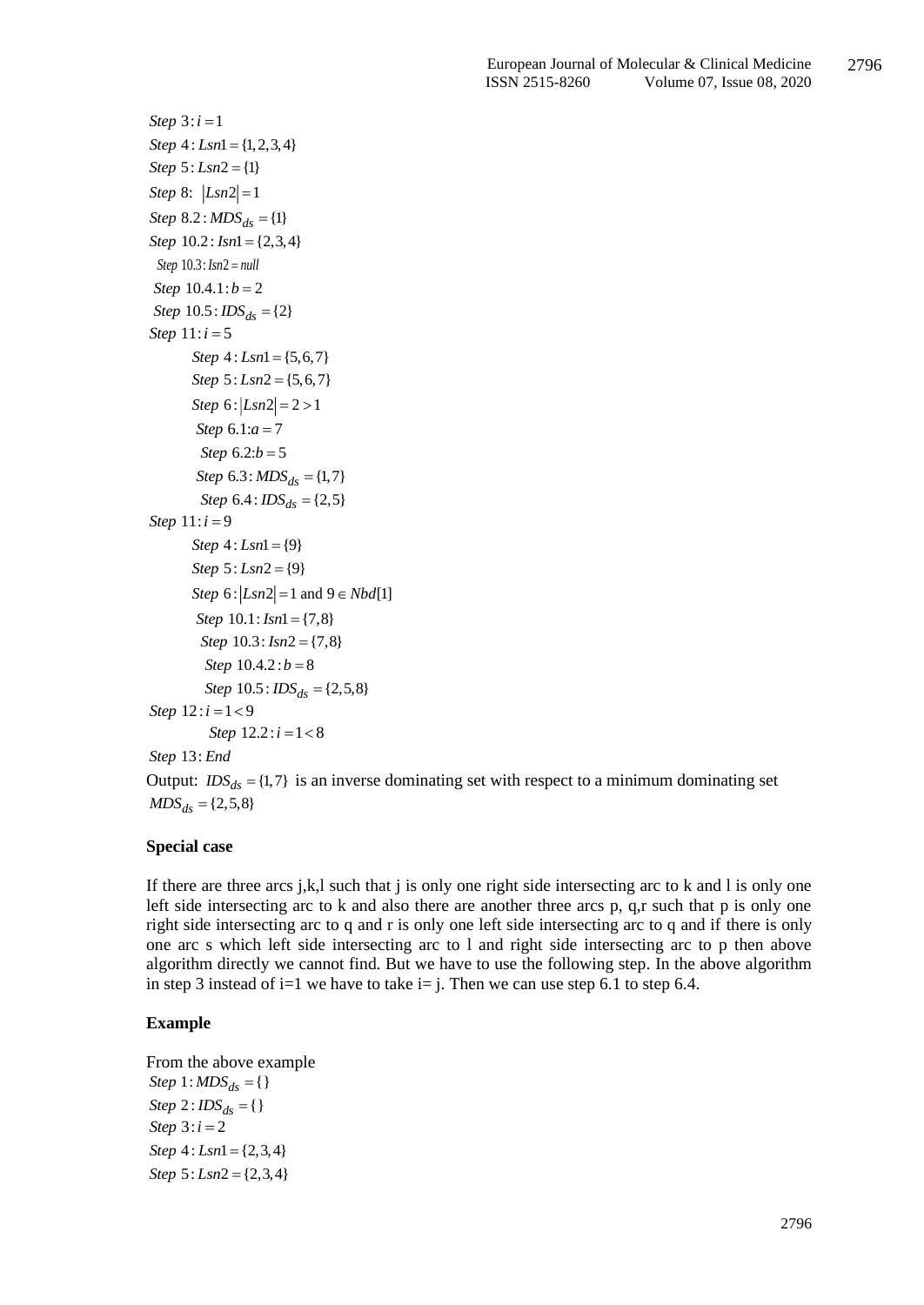```
Now Net <br>
Now \frac{2}{3} Step \pm 3: \sinh^{-1}<br>
Now \frac{2}{3} Step \pm 3: \sinh^{-1}<br>
Now \frac{2}{3} \sinh^{-1}<br>
Now \frac{2}{3} \sinh^{-1}<br>
Now \frac{2}{3} \sinh^{-1}<br>
Now \frac{2}{3} \sinh^{-1}<br>
Step \frac{2}{3} \sinh^{-1}<br>
Step \frac{2}{3} Step 4: Lsn1 = \{1, 2, 3, 4\}Step 5: Lsn2 = \{1\}Step 8: |Lsn2| = 1Step 8.2 : MDS_{ds} = \{1\}Step 10.2: Isn1 = \{2,3,4\}Step 10.3: Isn2 = nullStep 10.4.1:b = 2Step 10.5: <math>IDS_{ds} = \{2\}Step 11: i = 5Step 4 : Lsn1 = \{5,6,7\}Step 5: Lsn2 = {5, 6, 7}Step 6 : |Lsn2| = 2 > 1Step 6.1:a = 7Step 6.2:b = 5Step 6.3: MDS<sub>ds</sub> = \{1,7\}Step 6.4: <math>IDS_{ds} = \{2,5\}</math>Step 11: i = 9Step 4: Lsn1 = \{9\}Step 5: Lsn2 = \{9\}Step 6 : |Lsn2| = 1 and 9 \in Nbd[1]Step 10.1: Isn1 = \{7,8\}Step 10.3: Isn2 = \{7,8\}Step 10.4.2 : b = 8Step 10.5: <math>IDS_{ds} = \{2,5,8\}</math>Step 12 : i = 1 < 9Step 12.2 : i = 1 < 8Step End 13:
```
Output:  $IDS_{ds} = \{1,7\}$  is an inverse dominating set with respect to a minimum dominating set  $MDS_{ds} = \{2,5,8\}$ 

#### **Special case**

If there are three arcs j,k,l such that j is only one right side intersecting arc to k and l is only one left side intersecting arc to k and also there are another three arcs p, q,r such that p is only one right side intersecting arc to q and r is only one left side intersecting arc to q and if there is only one arc s which left side intersecting arc to l and right side intersecting arc to p then above algorithm directly we cannot find. But we have to use the following step. In the above algorithm in step 3 instead of i=1 we have to take i= j. Then we can use step 6.1 to step 6.4.

## **Example**

From the above example  $Step 1: MDS_{ds} = \{\}$  $Step 2: *IDS*<sub>ds</sub> = \{\}$ *Step*  $3:i = 2$  $Step 4: Lsn1 = \{2,3,4\}$  $Step 5: Lsn2 = \{2,3,4\}$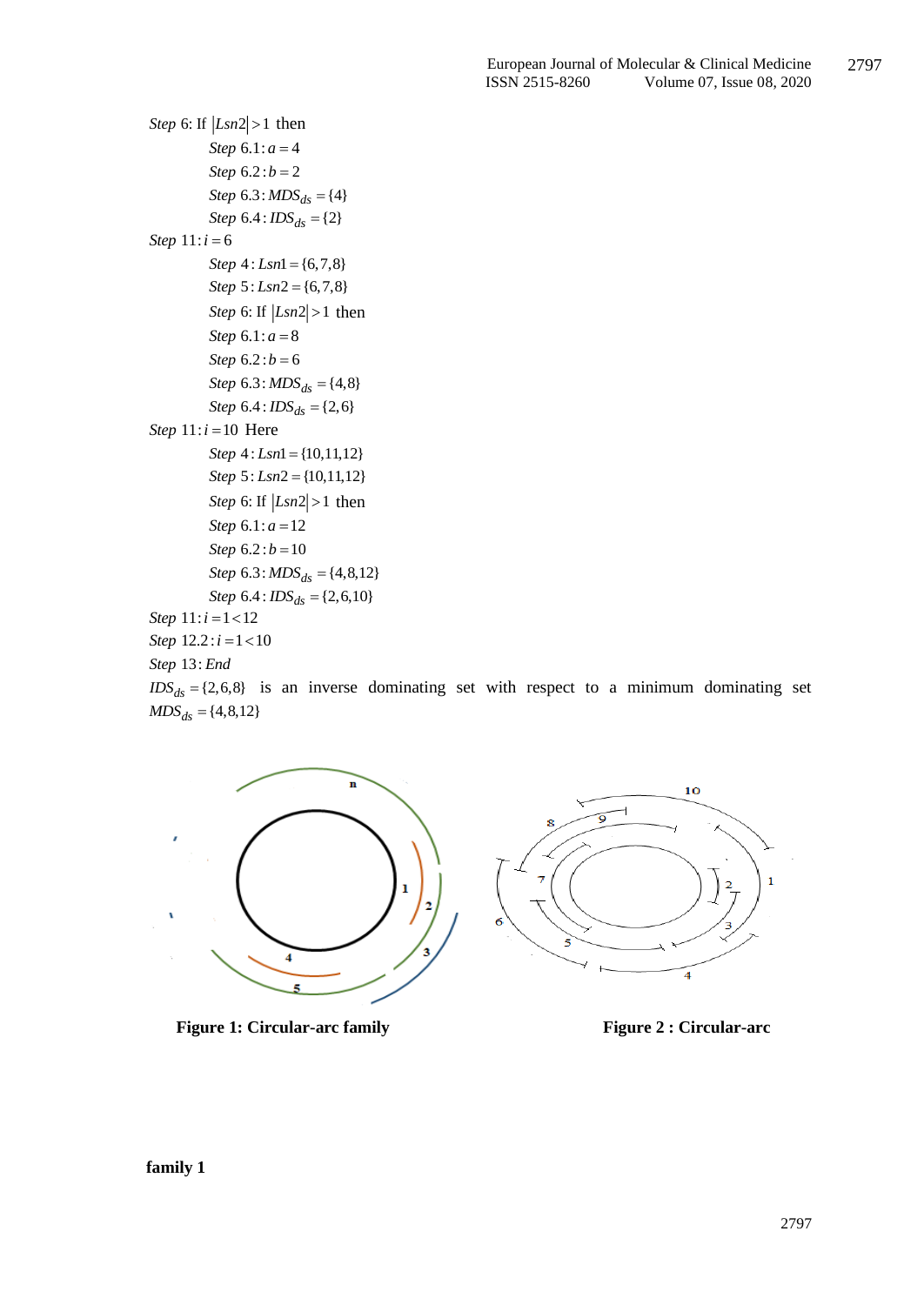```
Step 6: If |Lsn2| > 1 then
           Step 6.1: a = 4Step 6.2 : b = 2Step 6.3: MDS<sub>ds</sub> = {4}Step 6.4: <math>IDS_{ds} = \{2\}</math>Step 11: i = 6Step 4: Lsn1 = \{6,7,8\}Step 5: Lsn2 = \{6,7,8\}Step 6: If |Lsn2| > 1 then
           Step 6.1: a = 8Step 6.2 : b = 6Step 6.3: MDS<sub>ds</sub> = {4,8}Step 6.4: <math>IDS_{ds} = \{2,6\}</math>Step 11:i=10 Here
           Step 4: Lsn1 = \{10, 11, 12\}Step 5: Lsn2 = \{10, 11, 12\}Step 6: If |Lsn2| > 1 then
           Step 6.1: a = 12Step 6.2 : b = 10Step 6.3: MDS<sub>ds</sub> = {4,8,12}Step 6.4: <math>IDS_{ds} = \{2,6,10\}</math>Step 11: i = 1 < 12Step 12.2 : i = 1 < 10
```
*Step* 13: *End*<br> $IDS_{ds} = \{2, 6, 8\}$  is an inverse dominating set with respect to a minimum dominating set  $MDS_{ds} = \{4, 8, 12\}$ 



**Figure 1: Circular-arc family Figure 2: Circular-arc**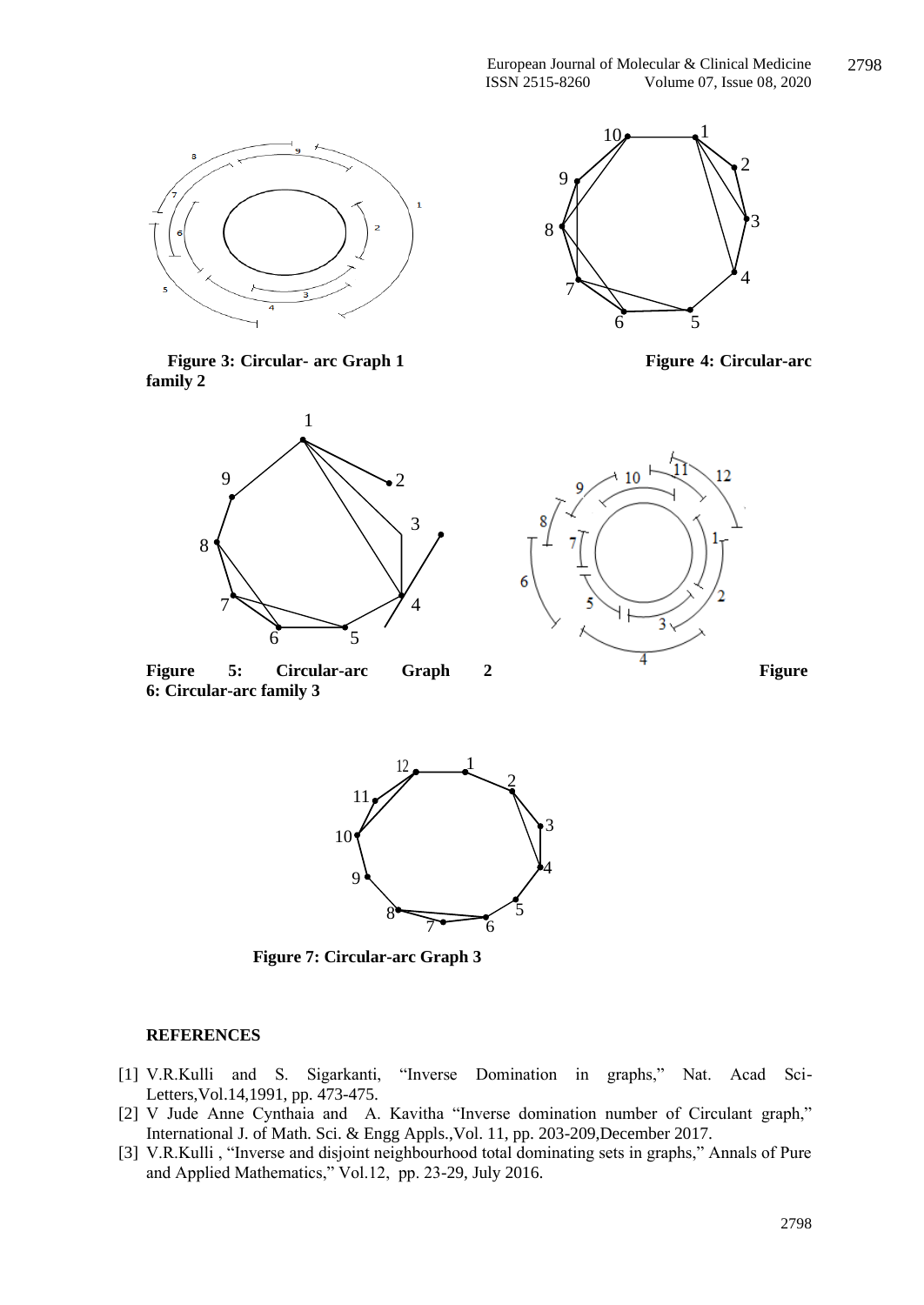









Figure 5: Circular-arc Graph 2 Figure **6: Circular-arc family 3**





 **Figure 7: Circular-arc Graph 3**

#### **REFERENCES**

- [1] V.R.Kulli and S. Sigarkanti, "Inverse Domination in graphs," Nat. Acad Sci-Letters,Vol.14,1991, pp. 473-475.
- [2] V Jude Anne Cynthaia and A. Kavitha "Inverse domination number of Circulant graph," International J. of Math. Sci. & Engg Appls.,Vol. 11, pp. 203-209,December 2017.
- [3] V.R.Kulli , "Inverse and disjoint neighbourhood total dominating sets in graphs," Annals of Pure and Applied Mathematics," Vol.12, pp. 23-29, July 2016.